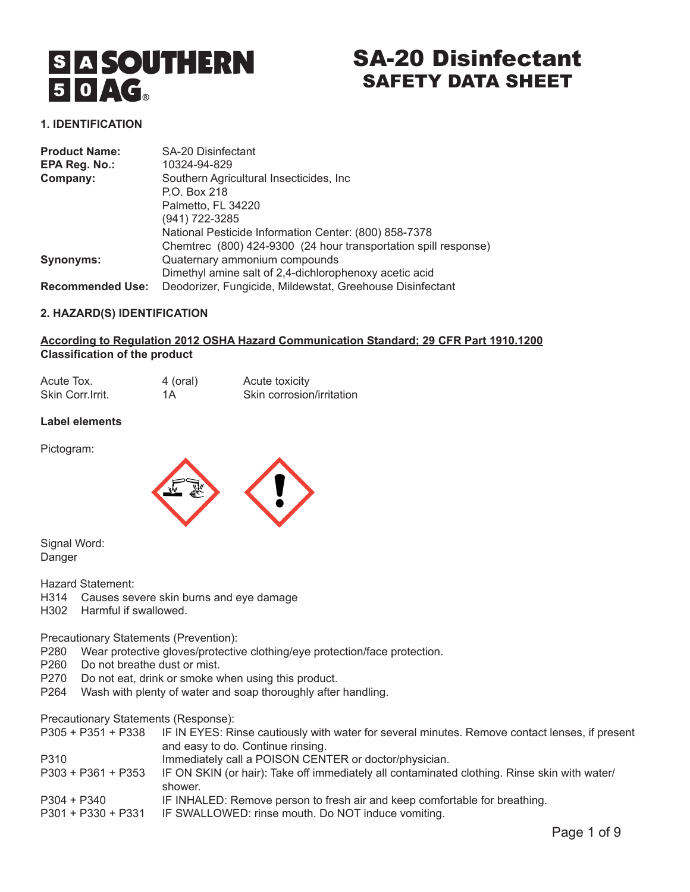# S A SOUTHERN<br>5 **O AG**

# SA-20 Disinfectant SAFETY DATA SHEET

# **1. IDENTIFICATION**

| <b>Product Name:</b>    | <b>SA-20 Disinfectant</b>                                       |
|-------------------------|-----------------------------------------------------------------|
| EPA Reg. No.:           | 10324-94-829                                                    |
| Company:                | Southern Agricultural Insecticides, Inc.                        |
|                         | P.O. Box 218                                                    |
|                         | Palmetto, FL 34220                                              |
|                         | (941) 722-3285                                                  |
|                         | National Pesticide Information Center: (800) 858-7378           |
|                         | Chemtrec (800) 424-9300 (24 hour transportation spill response) |
| <b>Synonyms:</b>        | Quaternary ammonium compounds                                   |
|                         | Dimethyl amine salt of 2,4-dichlorophenoxy acetic acid          |
| <b>Recommended Use:</b> | Deodorizer, Fungicide, Mildewstat, Greehouse Disinfectant       |

### **2. HAZARD(S) IDENTIFICATION**

### **According to Regulation 2012 OSHA Hazard Communication Standard; 29 CFR Part 1910.1200 Classification of the product**

| Acute Tox.        | 4 (oral) | Acute toxicity            |
|-------------------|----------|---------------------------|
| Skin Corr. Irrit. | 1A       | Skin corrosion/irritation |

#### **Label elements**

Pictogram:



Signal Word: Danger

Hazard Statement:

- H314 Causes severe skin burns and eye damage
- H302 Harmful if swallowed.

Precautionary Statements (Prevention):

- P280 Wear protective gloves/protective clothing/eye protection/face protection.
- P260 Do not breathe dust or mist.
- P270 Do not eat, drink or smoke when using this product.
- P264 Wash with plenty of water and soap thoroughly after handling.

Precautionary Statements (Response):

|                  | P305 + P351 + P338 IF IN EYES: Rinse cautiously with water for several minutes. Remove contact lenses, if present                                                                                                                                                                                                                  |
|------------------|------------------------------------------------------------------------------------------------------------------------------------------------------------------------------------------------------------------------------------------------------------------------------------------------------------------------------------|
|                  | and easy to do. Continue rinsing.                                                                                                                                                                                                                                                                                                  |
| $\sum_{i=1}^{n}$ | $\mathbf{r}$ $\mathbf{r}$ $\mathbf{r}$ $\mathbf{r}$ $\mathbf{r}$ $\mathbf{r}$ $\mathbf{r}$ $\mathbf{r}$ $\mathbf{r}$ $\mathbf{r}$ $\mathbf{r}$ $\mathbf{r}$ $\mathbf{r}$ $\mathbf{r}$ $\mathbf{r}$ $\mathbf{r}$ $\mathbf{r}$ $\mathbf{r}$ $\mathbf{r}$ $\mathbf{r}$ $\mathbf{r}$ $\mathbf{r}$ $\mathbf{r}$ $\mathbf{r}$ $\mathbf{$ |

- P310 **Immediately call a POISON CENTER or doctor/physician.**
- P303 + P361 + P353 IF ON SKIN (or hair): Take off immediately all contaminated clothing. Rinse skin with water/ shower.
- P304 + P340 IF INHALED: Remove person to fresh air and keep comfortable for breathing.
- P301 + P330 + P331 IF SWALLOWED: rinse mouth. Do NOT induce vomiting.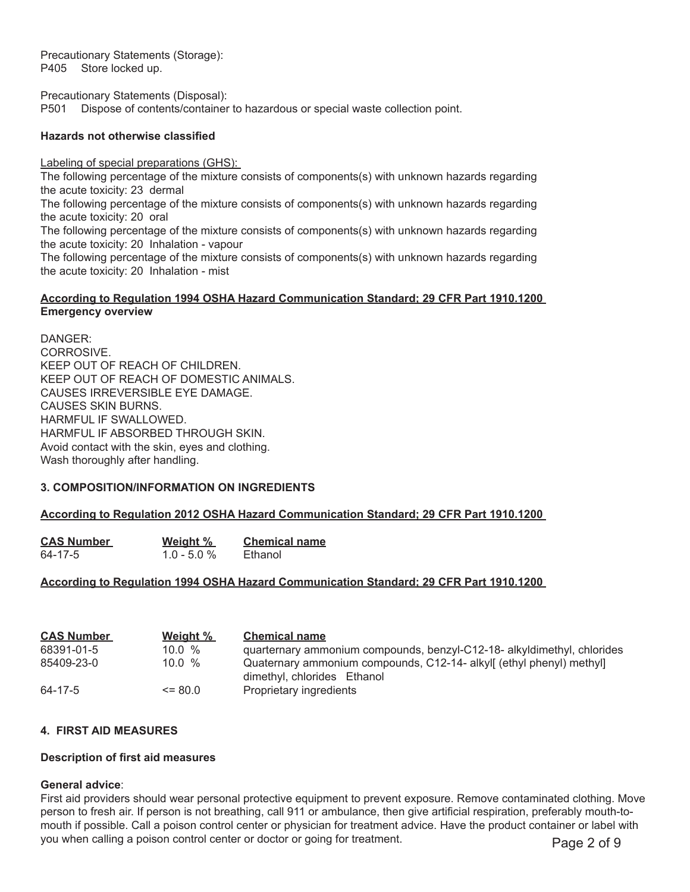Precautionary Statements (Storage): P405 Store locked up.

Precautionary Statements (Disposal): P501 Dispose of contents/container to hazardous or special waste collection point.

#### **Hazards not otherwise classified**

Labeling of special preparations (GHS):

The following percentage of the mixture consists of components(s) with unknown hazards regarding the acute toxicity: 23 dermal The following percentage of the mixture consists of components(s) with unknown hazards regarding the acute toxicity: 20 oral The following percentage of the mixture consists of components(s) with unknown hazards regarding the acute toxicity: 20 Inhalation - vapour

The following percentage of the mixture consists of components(s) with unknown hazards regarding the acute toxicity: 20 Inhalation - mist

#### **According to Regulation 1994 OSHA Hazard Communication Standard; 29 CFR Part 1910.1200 Emergency overview**

DANGER: CORROSIVE. KEEP OUT OF REACH OF CHILDREN. KEEP OUT OF REACH OF DOMESTIC ANIMALS. CAUSES IRREVERSIBLE EYE DAMAGE. CAUSES SKIN BURNS. HARMFUL IF SWALLOWED. HARMFUL IF ABSORBED THROUGH SKIN. Avoid contact with the skin, eyes and clothing. Wash thoroughly after handling.

#### **3. COMPOSITION/INFORMATION ON INGREDIENTS**

#### **According to Regulation 2012 OSHA Hazard Communication Standard; 29 CFR Part 1910.1200**

| <b>CAS Number</b> | Weight %       | <b>Chemical name</b> |
|-------------------|----------------|----------------------|
| 64-17-5           | $1.0 - 5.0 \%$ | Ethanol              |

# **According to Regulation 1994 OSHA Hazard Communication Standard; 29 CFR Part 1910.1200**

| <b>CAS Number</b> | Weight %    | <b>Chemical name</b>                                                                              |
|-------------------|-------------|---------------------------------------------------------------------------------------------------|
| 68391-01-5        | $10.0 \%$   | quarternary ammonium compounds, benzyl-C12-18- alkyldimethyl, chlorides                           |
| 85409-23-0        | $10.0 \%$   | Quaternary ammonium compounds, C12-14- alkyl (ethyl phenyl) methyl<br>dimethyl, chlorides Ethanol |
| 64-17-5           | $\leq$ 80.0 | Proprietary ingredients                                                                           |

# **4. FIRST AID MEASURES**

#### **Description of first aid measures**

#### **General advice**:

First aid providers should wear personal protective equipment to prevent exposure. Remove contaminated clothing. Move person to fresh air. If person is not breathing, call 911 or ambulance, then give artificial respiration, preferably mouth-tomouth if possible. Call a poison control center or physician for treatment advice. Have the product container or label with you when calling a poison control center or doctor or going for treatment. Page 2 of 9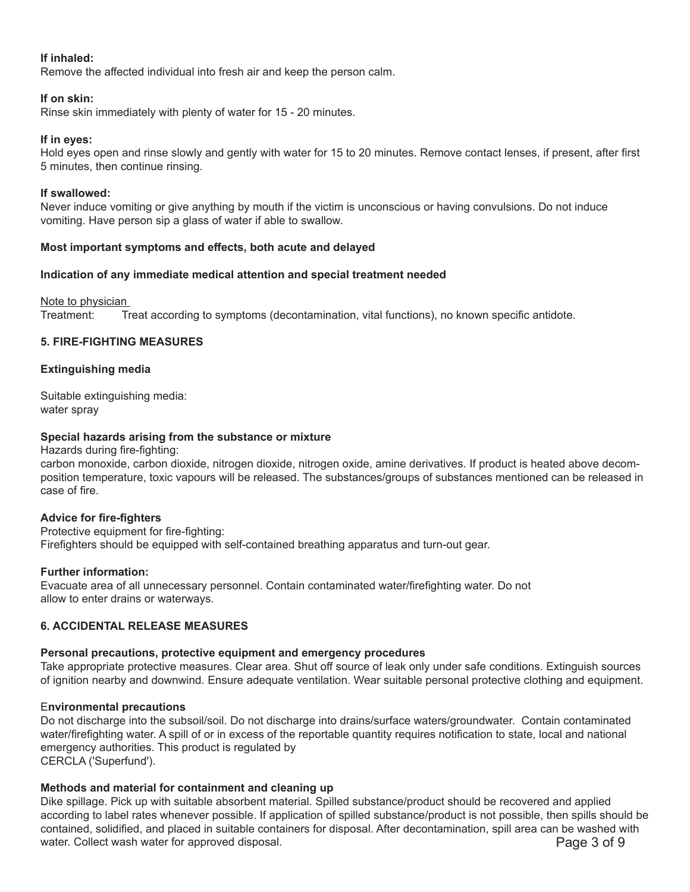# **If inhaled:**

Remove the affected individual into fresh air and keep the person calm.

#### **If on skin:**

Rinse skin immediately with plenty of water for 15 - 20 minutes.

# **If in eyes:**

Hold eyes open and rinse slowly and gently with water for 15 to 20 minutes. Remove contact lenses, if present, after first 5 minutes, then continue rinsing.

### **If swallowed:**

Never induce vomiting or give anything by mouth if the victim is unconscious or having convulsions. Do not induce vomiting. Have person sip a glass of water if able to swallow.

### **Most important symptoms and effects, both acute and delayed**

### **Indication of any immediate medical attention and special treatment needed**

Note to physician

Treatment: Treat according to symptoms (decontamination, vital functions), no known specific antidote.

### **5. FIRE-FIGHTING MEASURES**

### **Extinguishing media**

Suitable extinguishing media: water spray

### **Special hazards arising from the substance or mixture**

Hazards during fire-fighting:

carbon monoxide, carbon dioxide, nitrogen dioxide, nitrogen oxide, amine derivatives. If product is heated above decomposition temperature, toxic vapours will be released. The substances/groups of substances mentioned can be released in case of fire.

# **Advice for fire-fighters**

Protective equipment for fire-fighting: Firefighters should be equipped with self-contained breathing apparatus and turn-out gear.

#### **Further information:**

Evacuate area of all unnecessary personnel. Contain contaminated water/firefighting water. Do not allow to enter drains or waterways.

# **6. ACCIDENTAL RELEASE MEASURES**

# **Personal precautions, protective equipment and emergency procedures**

Take appropriate protective measures. Clear area. Shut off source of leak only under safe conditions. Extinguish sources of ignition nearby and downwind. Ensure adequate ventilation. Wear suitable personal protective clothing and equipment.

# E**nvironmental precautions**

Do not discharge into the subsoil/soil. Do not discharge into drains/surface waters/groundwater. Contain contaminated water/firefighting water. A spill of or in excess of the reportable quantity requires notification to state, local and national emergency authorities. This product is regulated by CERCLA ('Superfund').

# **Methods and material for containment and cleaning up**

Dike spillage. Pick up with suitable absorbent material. Spilled substance/product should be recovered and applied according to label rates whenever possible. If application of spilled substance/product is not possible, then spills should be contained, solidified, and placed in suitable containers for disposal. After decontamination, spill area can be washed with water. Collect wash water for approved disposal. **Page 3 of 9** and 2 of 9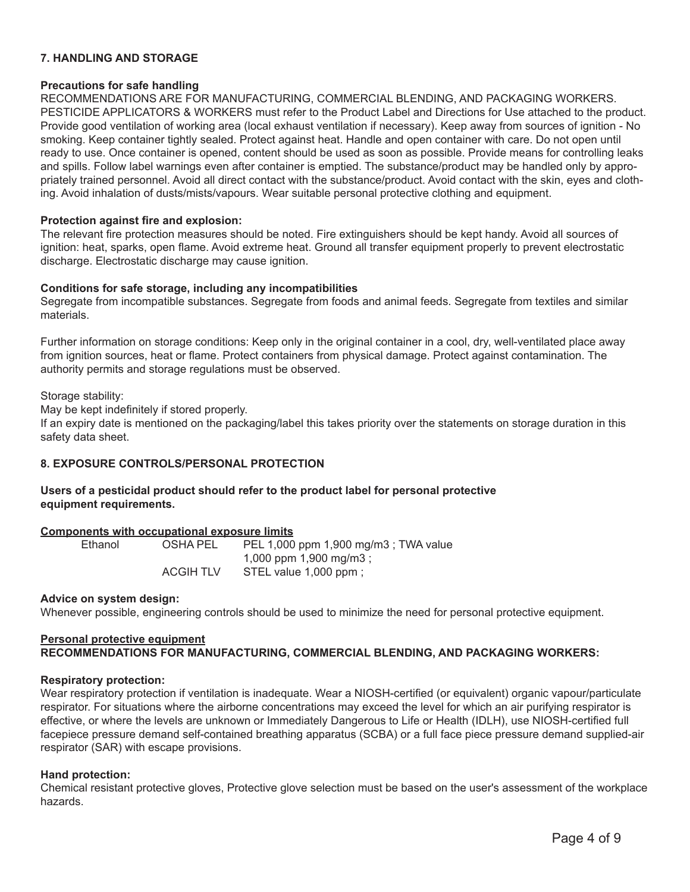# **7. HANDLING AND STORAGE**

### **Precautions for safe handling**

RECOMMENDATIONS ARE FOR MANUFACTURING, COMMERCIAL BLENDING, AND PACKAGING WORKERS. PESTICIDE APPLICATORS & WORKERS must refer to the Product Label and Directions for Use attached to the product. Provide good ventilation of working area (local exhaust ventilation if necessary). Keep away from sources of ignition - No smoking. Keep container tightly sealed. Protect against heat. Handle and open container with care. Do not open until ready to use. Once container is opened, content should be used as soon as possible. Provide means for controlling leaks and spills. Follow label warnings even after container is emptied. The substance/product may be handled only by appropriately trained personnel. Avoid all direct contact with the substance/product. Avoid contact with the skin, eyes and clothing. Avoid inhalation of dusts/mists/vapours. Wear suitable personal protective clothing and equipment.

#### **Protection against fire and explosion:**

The relevant fire protection measures should be noted. Fire extinguishers should be kept handy. Avoid all sources of ignition: heat, sparks, open flame. Avoid extreme heat. Ground all transfer equipment properly to prevent electrostatic discharge. Electrostatic discharge may cause ignition.

### **Conditions for safe storage, including any incompatibilities**

Segregate from incompatible substances. Segregate from foods and animal feeds. Segregate from textiles and similar materials.

Further information on storage conditions: Keep only in the original container in a cool, dry, well-ventilated place away from ignition sources, heat or flame. Protect containers from physical damage. Protect against contamination. The authority permits and storage regulations must be observed.

#### Storage stability:

May be kept indefinitely if stored properly.

If an expiry date is mentioned on the packaging/label this takes priority over the statements on storage duration in this safety data sheet.

# **8. EXPOSURE CONTROLS/PERSONAL PROTECTION**

# **Users of a pesticidal product should refer to the product label for personal protective equipment requirements.**

#### **Components with occupational exposure limits**

| Ethanol | OSHA PEL         | PEL 1,000 ppm 1,900 mg/m3; TWA value |
|---------|------------------|--------------------------------------|
|         |                  | 1,000 ppm 1,900 mg/m3;               |
|         | <b>ACGIH TLV</b> | STEL value 1,000 ppm;                |

#### **Advice on system design:**

Whenever possible, engineering controls should be used to minimize the need for personal protective equipment.

# **Personal protective equipment RECOMMENDATIONS FOR MANUFACTURING, COMMERCIAL BLENDING, AND PACKAGING WORKERS:**

#### **Respiratory protection:**

Wear respiratory protection if ventilation is inadequate. Wear a NIOSH-certified (or equivalent) organic vapour/particulate respirator. For situations where the airborne concentrations may exceed the level for which an air purifying respirator is effective, or where the levels are unknown or Immediately Dangerous to Life or Health (IDLH), use NIOSH-certified full facepiece pressure demand self-contained breathing apparatus (SCBA) or a full face piece pressure demand supplied-air respirator (SAR) with escape provisions.

#### **Hand protection:**

Chemical resistant protective gloves, Protective glove selection must be based on the user's assessment of the workplace hazards.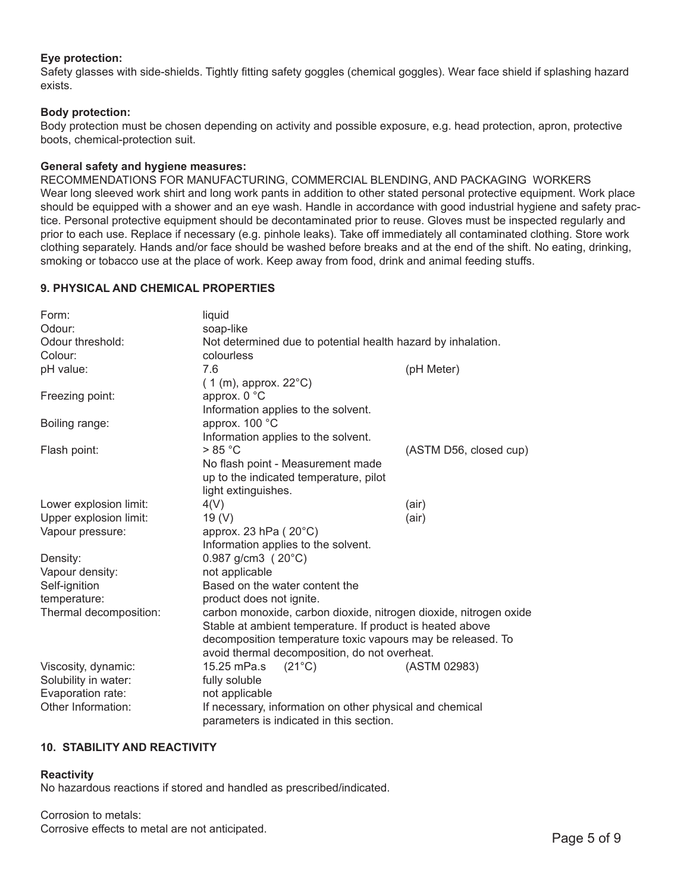# **Eye protection:**

Safety glasses with side-shields. Tightly fitting safety goggles (chemical goggles). Wear face shield if splashing hazard exists.

#### **Body protection:**

Body protection must be chosen depending on activity and possible exposure, e.g. head protection, apron, protective boots, chemical-protection suit.

#### **General safety and hygiene measures:**

RECOMMENDATIONS FOR MANUFACTURING, COMMERCIAL BLENDING, AND PACKAGING WORKERS Wear long sleeved work shirt and long work pants in addition to other stated personal protective equipment. Work place should be equipped with a shower and an eye wash. Handle in accordance with good industrial hygiene and safety practice. Personal protective equipment should be decontaminated prior to reuse. Gloves must be inspected regularly and prior to each use. Replace if necessary (e.g. pinhole leaks). Take off immediately all contaminated clothing. Store work clothing separately. Hands and/or face should be washed before breaks and at the end of the shift. No eating, drinking, smoking or tobacco use at the place of work. Keep away from food, drink and animal feeding stuffs.

### **9. PHYSICAL AND CHEMICAL PROPERTIES**

| Form:                  | liquid                                                            |                        |  |
|------------------------|-------------------------------------------------------------------|------------------------|--|
| Odour:                 | soap-like                                                         |                        |  |
| Odour threshold:       | Not determined due to potential health hazard by inhalation.      |                        |  |
| Colour:                | colourless                                                        |                        |  |
| pH value:              | 7.6                                                               | (pH Meter)             |  |
|                        | $(1 (m),$ approx. 22 $^{\circ}$ C)                                |                        |  |
| Freezing point:        | approx. 0 °C                                                      |                        |  |
|                        | Information applies to the solvent.                               |                        |  |
| Boiling range:         | approx. 100 °C                                                    |                        |  |
|                        | Information applies to the solvent.                               |                        |  |
| Flash point:           | > 85 °C                                                           | (ASTM D56, closed cup) |  |
|                        | No flash point - Measurement made                                 |                        |  |
|                        | up to the indicated temperature, pilot                            |                        |  |
|                        | light extinguishes.                                               |                        |  |
| Lower explosion limit: | 4(V)                                                              | (air)                  |  |
| Upper explosion limit: | 19 $(V)$                                                          | (air)                  |  |
| Vapour pressure:       | approx. 23 hPa ( $20^{\circ}$ C)                                  |                        |  |
|                        | Information applies to the solvent.                               |                        |  |
| Density:               | $0.987$ g/cm3 (20 $^{\circ}$ C)                                   |                        |  |
| Vapour density:        | not applicable                                                    |                        |  |
| Self-ignition          | Based on the water content the                                    |                        |  |
| temperature:           | product does not ignite.                                          |                        |  |
| Thermal decomposition: | carbon monoxide, carbon dioxide, nitrogen dioxide, nitrogen oxide |                        |  |
|                        | Stable at ambient temperature. If product is heated above         |                        |  |
|                        | decomposition temperature toxic vapours may be released. To       |                        |  |
|                        | avoid thermal decomposition, do not overheat.                     |                        |  |
| Viscosity, dynamic:    | 15.25 mPa.s<br>$(21^{\circ}C)$                                    | (ASTM 02983)           |  |
| Solubility in water:   | fully soluble                                                     |                        |  |
| Evaporation rate:      | not applicable                                                    |                        |  |
| Other Information:     | If necessary, information on other physical and chemical          |                        |  |
|                        | parameters is indicated in this section.                          |                        |  |

# **10. STABILITY AND REACTIVITY**

# **Reactivity**

No hazardous reactions if stored and handled as prescribed/indicated.

Corrosion to metals: Corrosive effects to metal are not anticipated. Page 5 of 9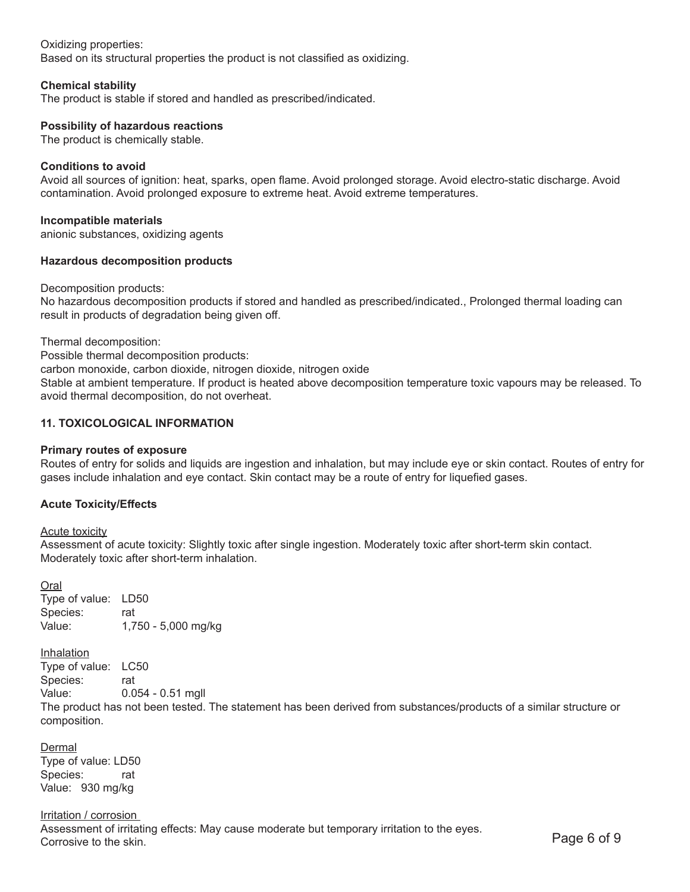#### Oxidizing properties:

Based on its structural properties the product is not classified as oxidizing.

#### **Chemical stability**

The product is stable if stored and handled as prescribed/indicated.

#### **Possibility of hazardous reactions**

The product is chemically stable.

#### **Conditions to avoid**

Avoid all sources of ignition: heat, sparks, open flame. Avoid prolonged storage. Avoid electro-static discharge. Avoid contamination. Avoid prolonged exposure to extreme heat. Avoid extreme temperatures.

#### **Incompatible materials**

anionic substances, oxidizing agents

#### **Hazardous decomposition products**

#### Decomposition products:

No hazardous decomposition products if stored and handled as prescribed/indicated., Prolonged thermal loading can result in products of degradation being given off.

Thermal decomposition:

Possible thermal decomposition products:

carbon monoxide, carbon dioxide, nitrogen dioxide, nitrogen oxide

Stable at ambient temperature. If product is heated above decomposition temperature toxic vapours may be released. To avoid thermal decomposition, do not overheat.

### **11. TOXICOLOGICAL INFORMATION**

#### **Primary routes of exposure**

Routes of entry for solids and liquids are ingestion and inhalation, but may include eye or skin contact. Routes of entry for gases include inhalation and eye contact. Skin contact may be a route of entry for liquefied gases.

#### **Acute Toxicity/Effects**

#### Acute toxicity

Assessment of acute toxicity: Slightly toxic after single ingestion. Moderately toxic after short-term skin contact. Moderately toxic after short-term inhalation.

Oral Type of value: LD50 Species: rat Value: 1,750 - 5,000 mg/kg

**Inhalation** Type of value: LC50 Species: rat Value: 0.054 - 0.51 mgll

The product has not been tested. The statement has been derived from substances/products of a similar structure or composition.

**Dermal** Type of value: LD50 Species: rat Value: 930 mg/kg

Irritation / corrosion Assessment of irritating effects: May cause moderate but temporary irritation to the eyes. Corrosive to the skin. Page 6 of 9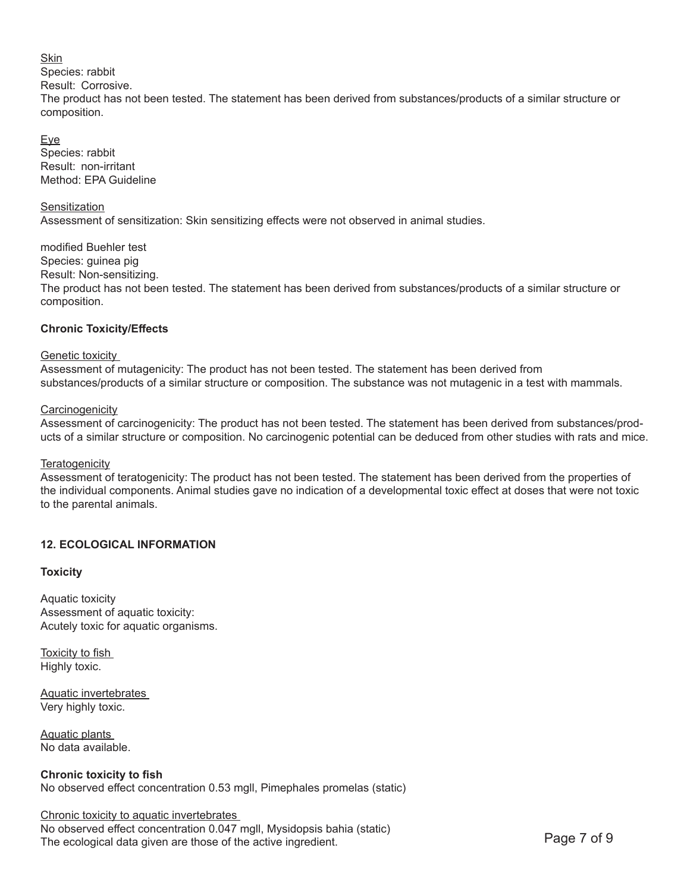# Skin Species: rabbit Result: Corrosive. The product has not been tested. The statement has been derived from substances/products of a similar structure or composition.

Eye Species: rabbit Result: non-irritant Method: EPA Guideline

#### **Sensitization**

Assessment of sensitization: Skin sensitizing effects were not observed in animal studies.

modified Buehler test Species: guinea pig Result: Non-sensitizing. The product has not been tested. The statement has been derived from substances/products of a similar structure or composition.

# **Chronic Toxicity/Effects**

Genetic toxicity

Assessment of mutagenicity: The product has not been tested. The statement has been derived from substances/products of a similar structure or composition. The substance was not mutagenic in a test with mammals.

### **Carcinogenicity**

Assessment of carcinogenicity: The product has not been tested. The statement has been derived from substances/products of a similar structure or composition. No carcinogenic potential can be deduced from other studies with rats and mice.

# **Teratogenicity**

Assessment of teratogenicity: The product has not been tested. The statement has been derived from the properties of the individual components. Animal studies gave no indication of a developmental toxic effect at doses that were not toxic to the parental animals.

# **12. ECOLOGICAL INFORMATION**

# **Toxicity**

Aquatic toxicity Assessment of aquatic toxicity: Acutely toxic for aquatic organisms.

Toxicity to fish Highly toxic.

Aquatic invertebrates Very highly toxic.

Aquatic plants No data available.

**Chronic toxicity to fish**  No observed effect concentration 0.53 mgll, Pimephales promelas (static)

# Chronic toxicity to aquatic invertebrates No observed effect concentration 0.047 mgll, Mysidopsis bahia (static) The ecological data given are those of the active ingredient. The ecological data given are those of the active ingredient.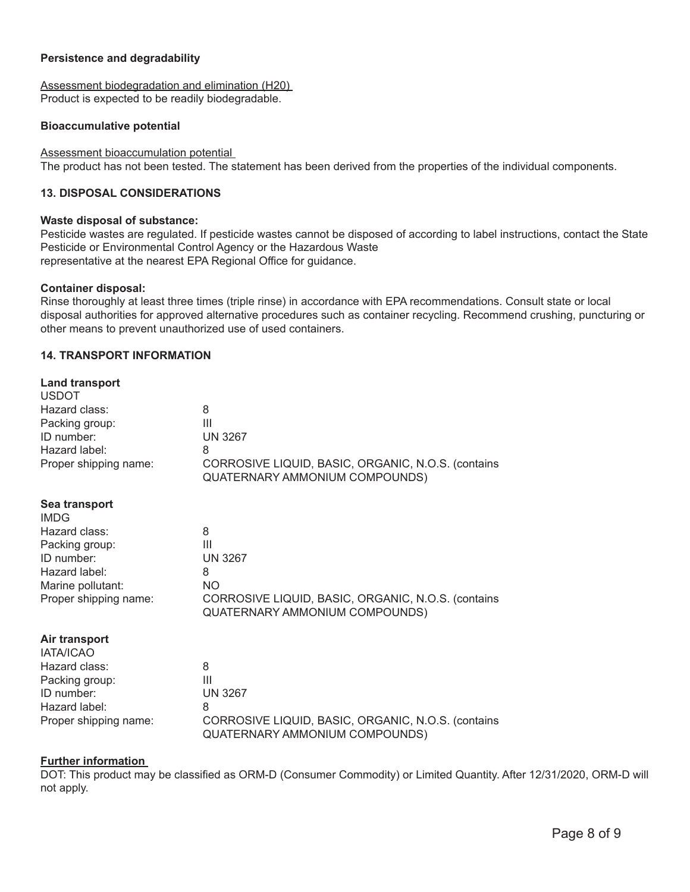#### **Persistence and degradability**

Assessment biodegradation and elimination (H20) Product is expected to be readily biodegradable.

#### **Bioaccumulative potential**

Assessment bioaccumulation potential The product has not been tested. The statement has been derived from the properties of the individual components.

#### **13. DISPOSAL CONSIDERATIONS**

#### **Waste disposal of substance:**

Pesticide wastes are regulated. If pesticide wastes cannot be disposed of according to label instructions, contact the State Pesticide or Environmental Control Agency or the Hazardous Waste representative at the nearest EPA Regional Office for guidance.

#### **Container disposal:**

Rinse thoroughly at least three times (triple rinse) in accordance with EPA recommendations. Consult state or local disposal authorities for approved alternative procedures such as container recycling. Recommend crushing, puncturing or other means to prevent unauthorized use of used containers.

#### **14. TRANSPORT INFORMATION**

| <b>Land transport</b><br><b>USDOT</b>      |                                                                                                   |
|--------------------------------------------|---------------------------------------------------------------------------------------------------|
| Hazard class:                              | 8                                                                                                 |
| Packing group:                             | Ш                                                                                                 |
| ID number:<br>Hazard label:                | <b>UN 3267</b><br>8                                                                               |
| Proper shipping name:                      | CORROSIVE LIQUID, BASIC, ORGANIC, N.O.S. (contains<br>QUATERNARY AMMONIUM COMPOUNDS)              |
| Sea transport<br><b>IMDG</b>               |                                                                                                   |
| Hazard class:                              | 8                                                                                                 |
| Packing group:                             | $\mathbf{III}$                                                                                    |
| ID number:                                 | <b>UN 3267</b>                                                                                    |
| Hazard label:                              | 8                                                                                                 |
| Marine pollutant:<br>Proper shipping name: | <b>NO</b><br>CORROSIVE LIQUID, BASIC, ORGANIC, N.O.S. (contains<br>QUATERNARY AMMONIUM COMPOUNDS) |
| Air transport<br><b>IATA/ICAO</b>          |                                                                                                   |
| Hazard class:                              | 8                                                                                                 |
| Packing group:                             | $\mathbf{III}$                                                                                    |
| ID number:                                 | <b>UN 3267</b>                                                                                    |
| Hazard label:                              | 8                                                                                                 |
| Proper shipping name:                      | CORROSIVE LIQUID, BASIC, ORGANIC, N.O.S. (contains<br>QUATERNARY AMMONIUM COMPOUNDS)              |
|                                            |                                                                                                   |

#### **Further information**

DOT: This product may be classified as ORM-D (Consumer Commodity) or Limited Quantity. After 12/31/2020, ORM-D will not apply.